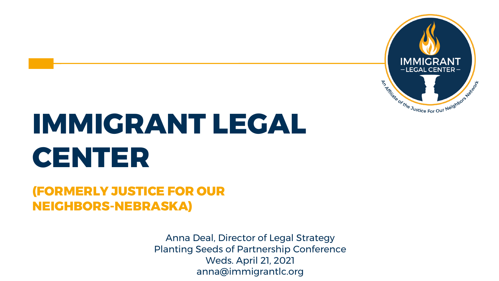

## **IMMIGRANT LEGAL CENTER**

#### **(FORMERLY JUSTICE FOR OUR NEIGHBORS-NEBRASKA)**

Anna Deal, Director of Legal Strategy Planting Seeds of Partnership Conference Weds. April 21, 2021 anna@immigrantlc.org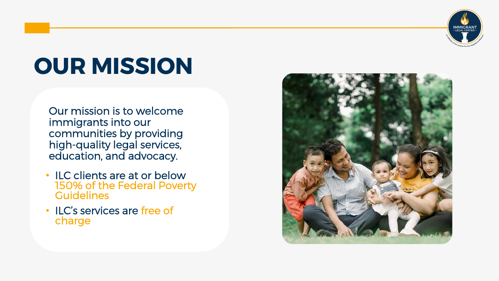

### **OUR MISSION**

Our mission is to welcome immigrants into our communities by providing high-quality legal services, education, and advocacy.

- ILC clients are at or below 150% of the Federal Poverty **Guidelines**
- ILC's services are free of charge

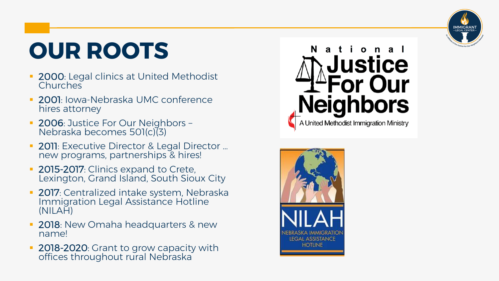

### **OUR ROOTS**

- 2000: Legal clinics at United Methodist **Churches**
- 2001: Iowa-Nebraska UMC conference hires attorney
- **2006: Justice For Our Neighbors -**Nebraska becomes 501(c)(3)
- **2011**: Executive Director & Legal Director ... new programs, partnerships & hires!
- **2015-2017**: Clinics expand to Crete, Lexington, Grand Island, South Sioux City
- **2017**: Centralized intake system, Nebraska Immigration Legal Assistance Hotline (NILAH)
- **2018**: New Omaha headquarters & new name!
- 2018-2020: Grant to grow capacity with offices throughout rural Nebraska



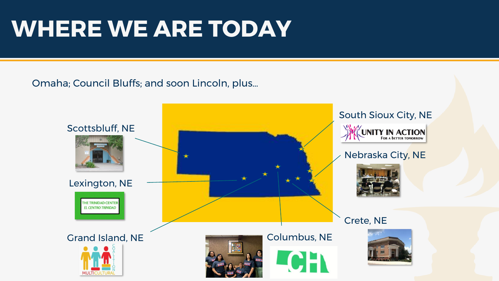### **WHERE WE ARE TODAY**

#### Omaha; Council Bluffs; and soon Lincoln, plus…

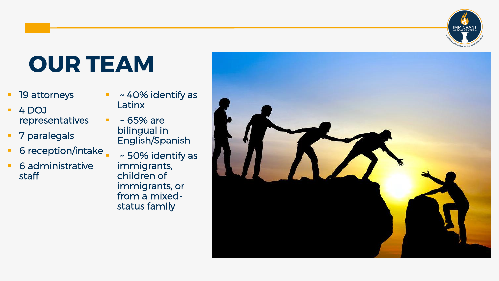### **OUR TEAM**

- 19 attorneys
- 4 DOJ representatives
- 7 paralegals
- 6 reception/intake
- 6 administrative staff
- ~ 40% identify as Latinx
- $~\sim$  65% are bilingual in English/Spanish
	- ~ 50% identify as immigrants, children of immigrants, or from a mixedstatus family

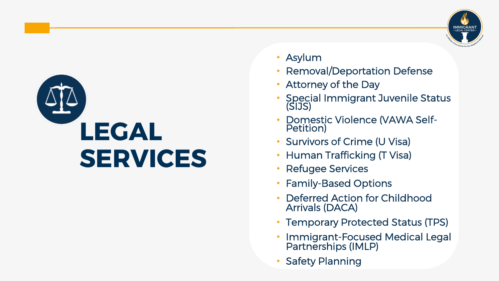

- Asylum
- Removal/Deportation Defense
- Attorney of the Day
- Special Immigrant Juvenile Status (SIJS)
- Domestic Violence (VAWA Self-Petition)
- Survivors of Crime (U Visa)
- Human Trafficking (T Visa)
- Refugee Services
- Family-Based Options
- Deferred Action for Childhood Arrivals (DACA)
- Temporary Protected Status (TPS)
- Immigrant-Focused Medical Legal Partnerships (IMLP)
- **Safety Planning**

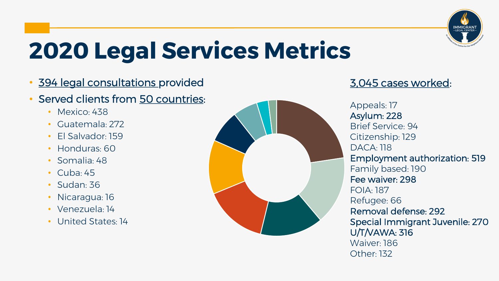

### **2020 Legal Services Metrics**

- 394 legal consultations provided
- Served clients from 50 countries:
	- Mexico: 438
	- Guatemala: 272
	- El Salvador: 159
	- Honduras: 60
	- Somalia: 48
	- $\cdot$  Cuba: 45
	- Sudan: 36
	- Nicaragua: 16
	- Venezuela: 14
	- United States: 14



#### 3,045 cases worked:

Appeals: 17 Asylum: 228 Brief Service: 94 Citizenship: 129 DACA: 118 Employment authorization: 519 Family based: 190 Fee waiver: 298 FOIA: 187 Refugee: 66 Removal defense: 292 Special Immigrant Juvenile: 270 U/T/VAWA: 316 Waiver: 186 Other: 132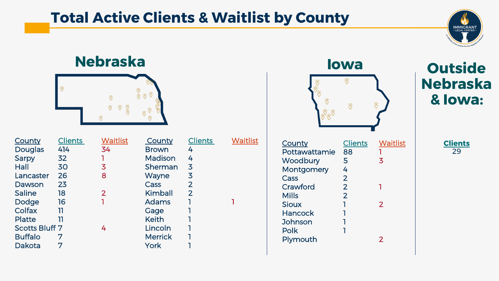### **Total Active Clients & Waitlist by County**



#### **Nebraska Iowa**



| <b>Clients</b>        | <b>Waitlist</b> | County         | <b>Clients</b> | <b>Waitlist</b> |
|-----------------------|-----------------|----------------|----------------|-----------------|
| 414                   | 34              | <b>Brown</b>   | 4              |                 |
| 32                    |                 | Madison        | 4              |                 |
| 30                    | 3               | Sherman        | 3              |                 |
| 26                    | 8               | Wayne          | 3              |                 |
| 23                    |                 | Cass           | $\overline{2}$ |                 |
| 18                    | $\mathbf{2}$    | Kimball        | $\overline{2}$ |                 |
| 16                    |                 | <b>Adams</b>   |                |                 |
| וו                    |                 | Gage           |                |                 |
| 11                    |                 | <b>Keith</b>   |                |                 |
| <b>Scotts Bluff 7</b> | 4               | Lincoln        |                |                 |
| 7                     |                 | <b>Merrick</b> |                |                 |
| 7                     |                 | York           |                |                 |
|                       |                 |                |                |                 |

| unty                    | <b>Clients</b> |
|-------------------------|----------------|
| wn                      | 4              |
| dison                   | 4              |
| erman                   | 3              |
| yne                     | 3              |
| $\overline{\mathsf{S}}$ | $\overline{2}$ |
| nball                   | $\overline{2}$ |
| ams                     | 1              |
| ge                      | 1              |
| th                      | ٦              |
| coln                    | ٦              |
| rrick                   | ٦              |

| $\bullet$<br>the control of the control of the control of the control of the control of the control of the control of the control of the control of the control of the control of the control of the control of the control of the control | T. |  |
|--------------------------------------------------------------------------------------------------------------------------------------------------------------------------------------------------------------------------------------------|----|--|
|                                                                                                                                                                                                                                            |    |  |
|                                                                                                                                                                                                                                            |    |  |

| (၀)<br>$\Theta$<br>ெ |                |                 |
|----------------------|----------------|-----------------|
|                      |                |                 |
| <b>County</b>        | <b>Clients</b> | <b>Waitlist</b> |
| Pottawattamie        | 88             |                 |
| Woodbury             | 5              | 3               |
| Montgomery           | 4              |                 |
| Cass                 | $\overline{2}$ |                 |
| Crawford             | $\overline{2}$ |                 |
| <b>Mills</b>         | $\overline{2}$ |                 |
| <b>Sioux</b>         | ٦              | $\overline{2}$  |
| Hancock              |                |                 |
| Johnson              |                |                 |
| Polk                 |                |                 |
| Plymouth             |                | 2               |

 $\odot$ 

 $\odot$ 

 $\circ$ 

 $\circledcirc$ 

#### **Outside Nebraska & Iowa:**

| П<br>u<br>en |  |  |
|--------------|--|--|
|              |  |  |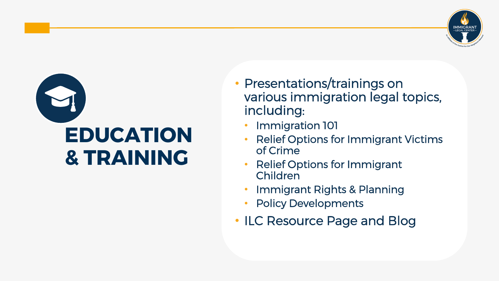



- Presentations/trainings on various immigration legal topics, including:
	- Immigration 101
	- Relief Options for Immigrant Victims of Crime
	- Relief Options for Immigrant Children
	- Immigrant Rights & Planning
	- Policy Developments
- ILC Resource Page and Blog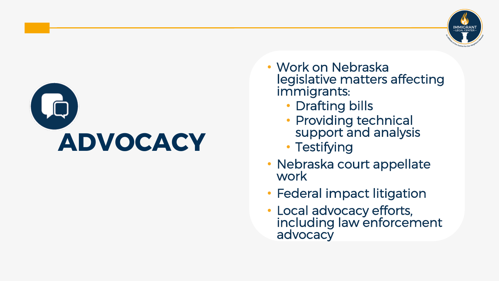

- Work on Nebraska legislative matters affecting immigrants:
	- Drafting bills
	- Providing technical support and analysis
	- Testifying
- Nebraska court appellate work
- Federal impact litigation
- Local advocacy efforts, including law enforcement advocacy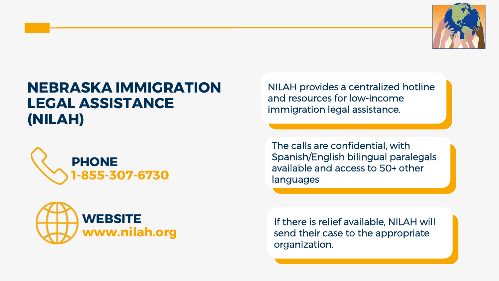

#### **NEBRASKA IMMIGRATION LEGAL ASSISTANCE (NILAH)**





NILAH provides a centralized hotline and resources for low-income immigration legal assistance.

The calls are confidential, with Spanish/English bilingual paralegals available and access to 50+ other languages

If there is relief available, NILAH will send their case to the appropriate organization.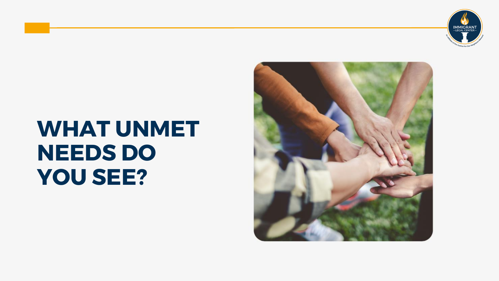

### **WHAT UNMET NEEDS DO YOU SEE?**

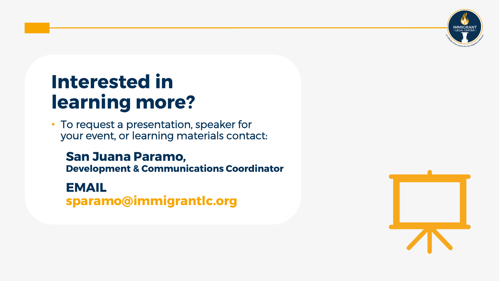

### **Interested in learning more?**

• To request a presentation, speaker for your event, or learning materials contact:

**San Juana Paramo, Development & Communications Coordinator**

**EMAIL sparamo@immigrantlc.org**